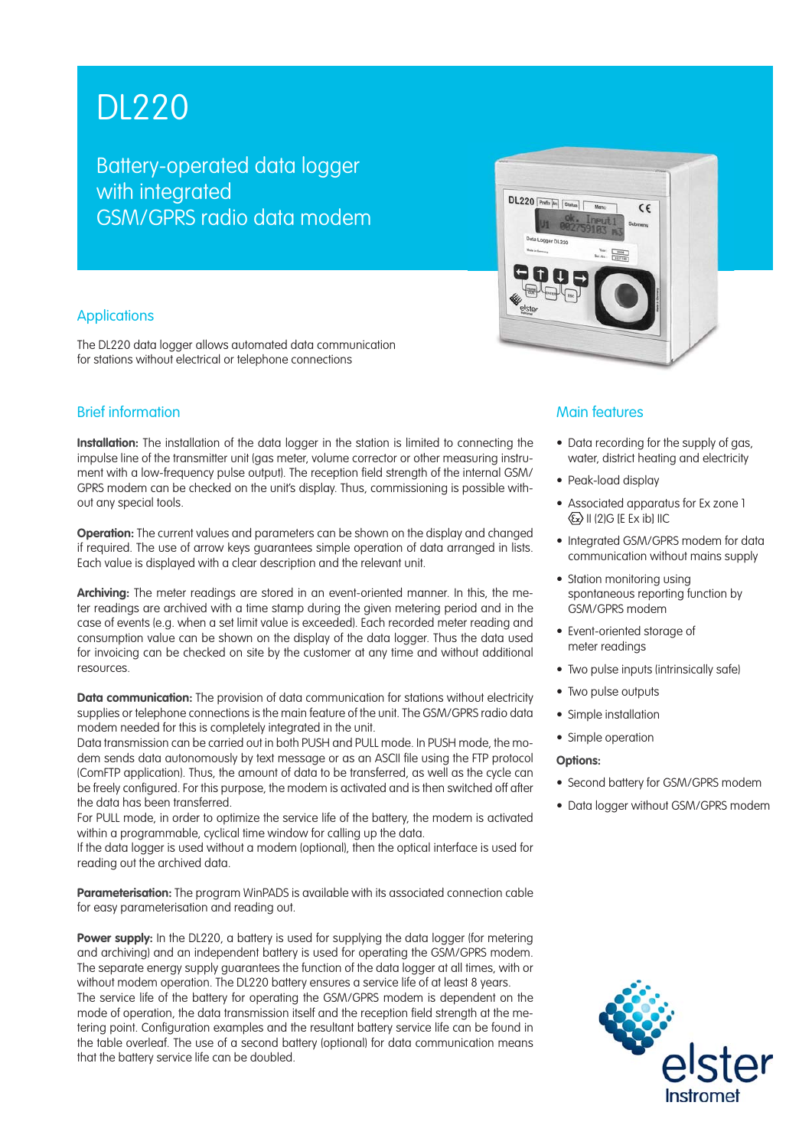# DL220

Battery-operated data logger with integrated GSM/GPRS radio data modem

## **Applications**

The DL220 data logger allows automated data communication for stations without electrical or telephone connections

# Brief information

**Installation:** The installation of the data logger in the station is limited to connecting the impulse line of the transmitter unit (gas meter, volume corrector or other measuring instrument with a low-frequency pulse output). The reception field strength of the internal GSM/ GPRS modem can be checked on the unit's display. Thus, commissioning is possible without any special tools.

**Operation:** The current values and parameters can be shown on the display and changed if required. The use of arrow keys guarantees simple operation of data arranged in lists. Each value is displayed with a clear description and the relevant unit.

**Archiving:** The meter readings are stored in an event-oriented manner. In this, the meter readings are archived with a time stamp during the given metering period and in the case of events (e.g. when a set limit value is exceeded). Each recorded meter reading and consumption value can be shown on the display of the data logger. Thus the data used for invoicing can be checked on site by the customer at any time and without additional resources.

**Data communication:** The provision of data communication for stations without electricity supplies or telephone connections is the main feature of the unit. The GSM/GPRS radio data modem needed for this is completely integrated in the unit.

Data transmission can be carried out in both PUSH and PULL mode. In PUSH mode, the modem sends data autonomously by text message or as an ASCII file using the FTP protocol (ComFTP application). Thus, the amount of data to be transferred, as well as the cycle can be freely configured. For this purpose, the modem is activated and is then switched off after the data has been transferred.

For PULL mode, in order to optimize the service life of the battery, the modem is activated within a programmable, cyclical time window for calling up the data.

If the data logger is used without a modem (optional), then the optical interface is used for reading out the archived data.

**Parameterisation:** The program WinPADS is available with its associated connection cable for easy parameterisation and reading out.

**Power supply:** In the DL220, a battery is used for supplying the data logger (for metering and archiving) and an independent battery is used for operating the GSM/GPRS modem. The separate energy supply guarantees the function of the data logger at all times, with or without modem operation. The DL220 battery ensures a service life of at least 8 years.

The service life of the battery for operating the GSM/GPRS modem is dependent on the mode of operation, the data transmission itself and the reception field strength at the metering point. Configuration examples and the resultant battery service life can be found in the table overleaf. The use of a second battery (optional) for data communication means that the battery service life can be doubled.



### Main features

- Data recording for the supply of gas, water, district heating and electricity
- Peak-load display
- Associated apparatus for Ex zone 1  $\langle \overline{\mathbb{E}} \times \mathbb{E} \rangle$  II (2) G IE Ex ibl IIC
- Integrated GSM/GPRS modem for data communication without mains supply
- Station monitoring using spontaneous reporting function by GSM/GPRS modem
- Event-oriented storage of meter readings
- Two pulse inputs (intrinsically safe)
- Two pulse outputs
- Simple installation
- Simple operation

#### **Options:**

- Second battery for GSM/GPRS modem
- Data logger without GSM/GPRS modem